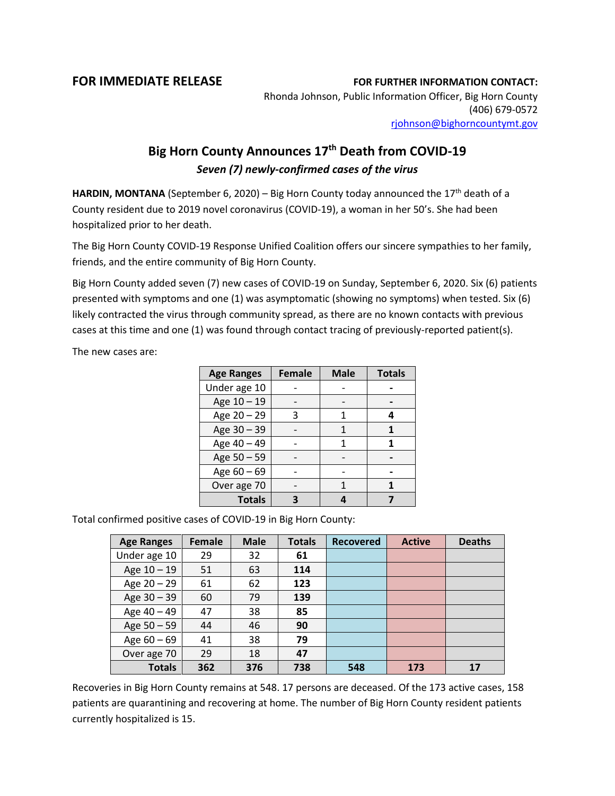## **FOR IMMEDIATE RELEASE FOR FURTHER INFORMATION CONTACT:**

Rhonda Johnson, Public Information Officer, Big Horn County (406) 679-0572 [rjohnson@bighorncountymt.gov](mailto:rjohnson@bighorncountymt.gov)

## **Big Horn County Announces 17th Death from COVID-19** *Seven (7) newly-confirmed cases of the virus*

HARDIN, MONTANA (September 6, 2020) – Big Horn County today announced the 17<sup>th</sup> death of a County resident due to 2019 novel coronavirus (COVID-19), a woman in her 50's. She had been hospitalized prior to her death.

The Big Horn County COVID-19 Response Unified Coalition offers our sincere sympathies to her family, friends, and the entire community of Big Horn County.

Big Horn County added seven (7) new cases of COVID-19 on Sunday, September 6, 2020. Six (6) patients presented with symptoms and one (1) was asymptomatic (showing no symptoms) when tested. Six (6) likely contracted the virus through community spread, as there are no known contacts with previous cases at this time and one (1) was found through contact tracing of previously-reported patient(s).

The new cases are:

| <b>Age Ranges</b> | <b>Female</b> | <b>Male</b> | <b>Totals</b> |
|-------------------|---------------|-------------|---------------|
| Under age 10      |               |             |               |
| Age 10 - 19       |               |             |               |
| Age 20 - 29       | 3             |             |               |
| Age 30 - 39       |               |             |               |
| Age 40 - 49       |               |             |               |
| Age 50 - 59       |               |             |               |
| Age $60 - 69$     |               |             |               |
| Over age 70       |               |             |               |
| <b>Totals</b>     |               |             |               |

Total confirmed positive cases of COVID-19 in Big Horn County:

| <b>Age Ranges</b> | Female | <b>Male</b> | <b>Totals</b> | <b>Recovered</b> | <b>Active</b> | <b>Deaths</b> |
|-------------------|--------|-------------|---------------|------------------|---------------|---------------|
| Under age 10      | 29     | 32          | 61            |                  |               |               |
| Age 10 - 19       | 51     | 63          | 114           |                  |               |               |
| Age $20 - 29$     | 61     | 62          | 123           |                  |               |               |
| Age 30 - 39       | 60     | 79          | 139           |                  |               |               |
| Age 40 - 49       | 47     | 38          | 85            |                  |               |               |
| Age $50 - 59$     | 44     | 46          | 90            |                  |               |               |
| Age $60 - 69$     | 41     | 38          | 79            |                  |               |               |
| Over age 70       | 29     | 18          | 47            |                  |               |               |
| <b>Totals</b>     | 362    | 376         | 738           | 548              | 173           | 17            |

Recoveries in Big Horn County remains at 548. 17 persons are deceased. Of the 173 active cases, 158 patients are quarantining and recovering at home. The number of Big Horn County resident patients currently hospitalized is 15.